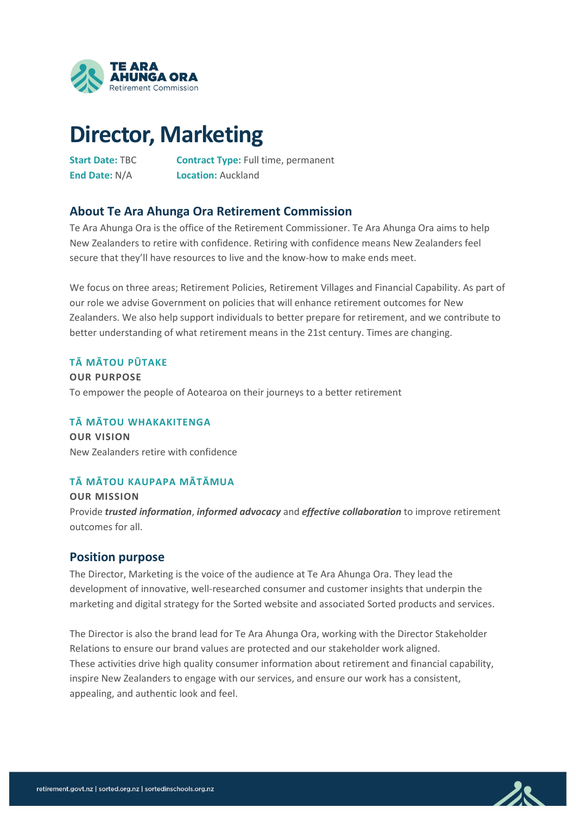

# **Director, Marketing**

**Start Date:** TBC **Contract Type:** Full time, permanent **End Date:** N/A **Location:** Auckland

## **About Te Ara Ahunga Ora Retirement Commission**

Te Ara Ahunga Ora is the office of the Retirement Commissioner. Te Ara Ahunga Ora aims to help New Zealanders to retire with confidence. Retiring with confidence means New Zealanders feel secure that they'll have resources to live and the know-how to make ends meet.

We focus on three areas; Retirement Policies, Retirement Villages and Financial Capability. As part of our role we advise Government on policies that will enhance retirement outcomes for New Zealanders. We also help support individuals to better prepare for retirement, and we contribute to better understanding of what retirement means in the 21st century. Times are changing.

#### **TĀ MĀTOU PŪTAKE**

**OUR PURPOSE**  To empower the people of Aotearoa on their journeys to a better retirement

#### **TĀ MĀTOU WHAKAKITENGA**

**OUR VISION** New Zealanders retire with confidence

#### **TĀ MĀTOU KAUPAPA MĀTĀMUA**

**OUR MISSION** Provide *trusted information*, *informed advocacy* and *effective collaboration* to improve retirement outcomes for all.

#### **Position purpose**

The Director, Marketing is the voice of the audience at Te Ara Ahunga Ora. They lead the development of innovative, well-researched consumer and customer insights that underpin the marketing and digital strategy for the Sorted website and associated Sorted products and services.

The Director is also the brand lead for Te Ara Ahunga Ora, working with the Director Stakeholder Relations to ensure our brand values are protected and our stakeholder work aligned. These activities drive high quality consumer information about retirement and financial capability, inspire New Zealanders to engage with our services, and ensure our work has a consistent, appealing, and authentic look and feel.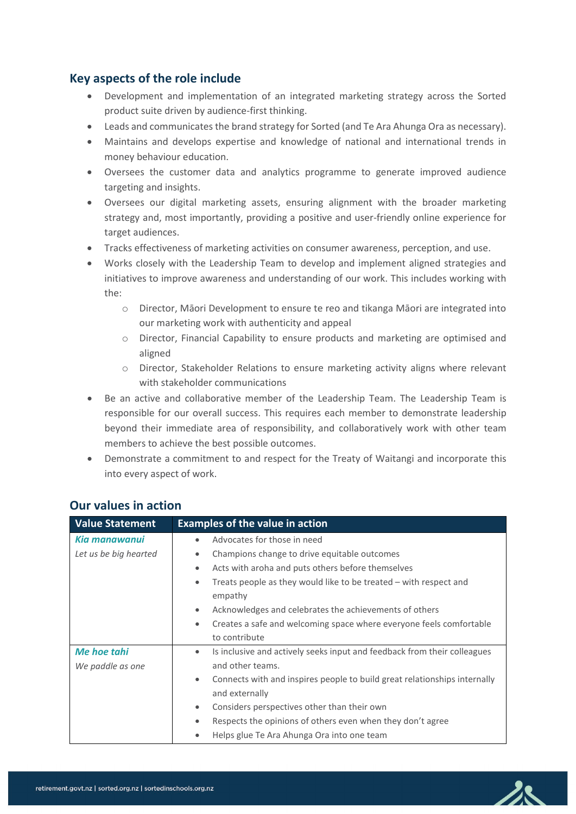# **Key aspects of the role include**

- Development and implementation of an integrated marketing strategy across the Sorted product suite driven by audience-first thinking.
- Leads and communicates the brand strategy for Sorted (and Te Ara Ahunga Ora as necessary).
- Maintains and develops expertise and knowledge of national and international trends in money behaviour education.
- Oversees the customer data and analytics programme to generate improved audience targeting and insights.
- Oversees our digital marketing assets, ensuring alignment with the broader marketing strategy and, most importantly, providing a positive and user-friendly online experience for target audiences.
- Tracks effectiveness of marketing activities on consumer awareness, perception, and use.
- Works closely with the Leadership Team to develop and implement aligned strategies and initiatives to improve awareness and understanding of our work. This includes working with the:
	- o Director, Māori Development to ensure te reo and tikanga Māori are integrated into our marketing work with authenticity and appeal
	- o Director, Financial Capability to ensure products and marketing are optimised and aligned
	- o Director, Stakeholder Relations to ensure marketing activity aligns where relevant with stakeholder communications
- Be an active and collaborative member of the Leadership Team. The Leadership Team is responsible for our overall success. This requires each member to demonstrate leadership beyond their immediate area of responsibility, and collaboratively work with other team members to achieve the best possible outcomes.
- Demonstrate a commitment to and respect for the Treaty of Waitangi and incorporate this into every aspect of work.

| <b>Value Statement</b> | <b>Examples of the value in action</b>                                                                   |  |  |
|------------------------|----------------------------------------------------------------------------------------------------------|--|--|
| Kia manawanui          | Advocates for those in need<br>٠                                                                         |  |  |
| Let us be big hearted  | Champions change to drive equitable outcomes<br>$\bullet$                                                |  |  |
|                        | Acts with aroha and puts others before themselves<br>$\bullet$                                           |  |  |
|                        | Treats people as they would like to be treated - with respect and<br>$\bullet$<br>empathy                |  |  |
|                        | Acknowledges and celebrates the achievements of others<br>$\bullet$                                      |  |  |
|                        | Creates a safe and welcoming space where everyone feels comfortable<br>٠                                 |  |  |
|                        | to contribute                                                                                            |  |  |
| <b>Me hoe tahi</b>     | Is inclusive and actively seeks input and feedback from their colleagues<br>٠                            |  |  |
| We paddle as one       | and other teams.                                                                                         |  |  |
|                        | Connects with and inspires people to build great relationships internally<br>$\bullet$<br>and externally |  |  |
|                        | Considers perspectives other than their own<br>$\bullet$                                                 |  |  |
|                        | Respects the opinions of others even when they don't agree                                               |  |  |
|                        | Helps glue Te Ara Ahunga Ora into one team                                                               |  |  |

#### **Our values in action**

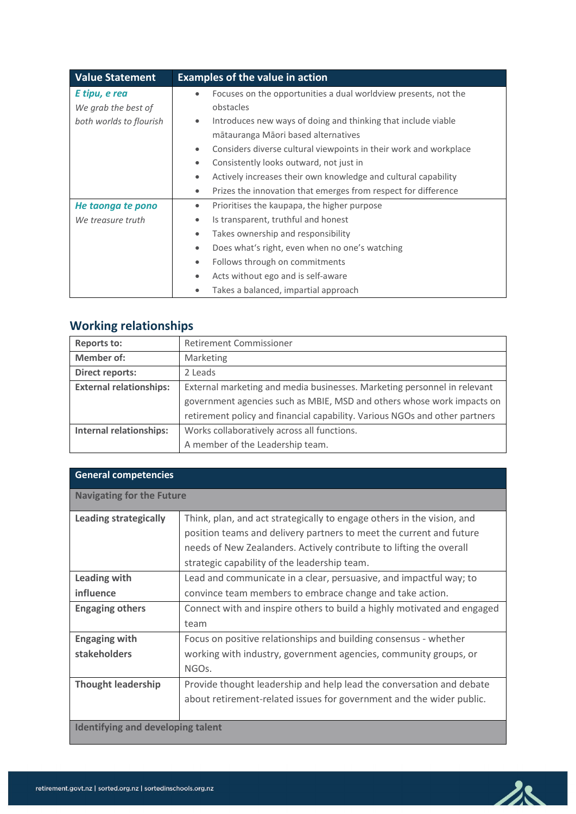| <b>Value Statement</b>  | <b>Examples of the value in action</b>                                         |  |  |
|-------------------------|--------------------------------------------------------------------------------|--|--|
| E tipu, e rea           | Focuses on the opportunities a dual worldview presents, not the<br>$\bullet$   |  |  |
| We grab the best of     | obstacles                                                                      |  |  |
| both worlds to flourish | Introduces new ways of doing and thinking that include viable<br>$\bullet$     |  |  |
|                         | mātauranga Māori based alternatives                                            |  |  |
|                         | Considers diverse cultural viewpoints in their work and workplace<br>$\bullet$ |  |  |
|                         | Consistently looks outward, not just in<br>۰                                   |  |  |
|                         | Actively increases their own knowledge and cultural capability                 |  |  |
|                         | Prizes the innovation that emerges from respect for difference<br>$\bullet$    |  |  |
| He taonga te pono       | Prioritises the kaupapa, the higher purpose<br>٠                               |  |  |
| We treasure truth       | Is transparent, truthful and honest<br>$\bullet$                               |  |  |
|                         | Takes ownership and responsibility<br>$\bullet$                                |  |  |
|                         | Does what's right, even when no one's watching<br>۰                            |  |  |
|                         | Follows through on commitments<br>٠                                            |  |  |
|                         | Acts without ego and is self-aware<br>$\bullet$                                |  |  |
|                         | Takes a balanced, impartial approach                                           |  |  |

# **Working relationships**

| <b>Reports to:</b>             | <b>Retirement Commissioner</b>                                              |  |  |
|--------------------------------|-----------------------------------------------------------------------------|--|--|
| <b>Member of:</b>              | Marketing                                                                   |  |  |
| <b>Direct reports:</b>         | 2 Leads                                                                     |  |  |
| <b>External relationships:</b> | External marketing and media businesses. Marketing personnel in relevant    |  |  |
|                                | government agencies such as MBIE, MSD and others whose work impacts on      |  |  |
|                                | retirement policy and financial capability. Various NGOs and other partners |  |  |
| <b>Internal relationships:</b> | Works collaboratively across all functions.                                 |  |  |
|                                | A member of the Leadership team.                                            |  |  |

| <b>General competencies</b>              |                                                                                                                                                                                                                                                                      |  |
|------------------------------------------|----------------------------------------------------------------------------------------------------------------------------------------------------------------------------------------------------------------------------------------------------------------------|--|
| <b>Navigating for the Future</b>         |                                                                                                                                                                                                                                                                      |  |
| <b>Leading strategically</b>             | Think, plan, and act strategically to engage others in the vision, and<br>position teams and delivery partners to meet the current and future<br>needs of New Zealanders. Actively contribute to lifting the overall<br>strategic capability of the leadership team. |  |
| Leading with<br>influence                | Lead and communicate in a clear, persuasive, and impactful way; to<br>convince team members to embrace change and take action.                                                                                                                                       |  |
| <b>Engaging others</b>                   | Connect with and inspire others to build a highly motivated and engaged<br>team                                                                                                                                                                                      |  |
| <b>Engaging with</b><br>stakeholders     | Focus on positive relationships and building consensus - whether<br>working with industry, government agencies, community groups, or<br>NGOs.                                                                                                                        |  |
| <b>Thought leadership</b>                | Provide thought leadership and help lead the conversation and debate<br>about retirement-related issues for government and the wider public.                                                                                                                         |  |
| <b>Identifying and developing talent</b> |                                                                                                                                                                                                                                                                      |  |

 $28$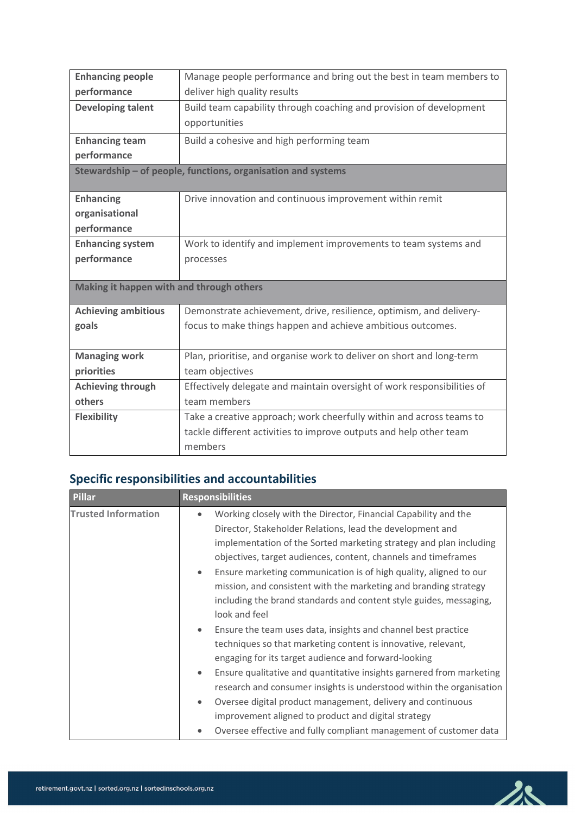| <b>Enhancing people</b>                  | Manage people performance and bring out the best in team members to     |  |  |  |  |
|------------------------------------------|-------------------------------------------------------------------------|--|--|--|--|
| performance                              | deliver high quality results                                            |  |  |  |  |
| <b>Developing talent</b>                 | Build team capability through coaching and provision of development     |  |  |  |  |
|                                          | opportunities                                                           |  |  |  |  |
| <b>Enhancing team</b>                    | Build a cohesive and high performing team                               |  |  |  |  |
| performance                              |                                                                         |  |  |  |  |
|                                          | Stewardship - of people, functions, organisation and systems            |  |  |  |  |
| <b>Enhancing</b>                         | Drive innovation and continuous improvement within remit                |  |  |  |  |
| organisational                           |                                                                         |  |  |  |  |
| performance                              |                                                                         |  |  |  |  |
| <b>Enhancing system</b>                  | Work to identify and implement improvements to team systems and         |  |  |  |  |
| performance                              | processes                                                               |  |  |  |  |
|                                          |                                                                         |  |  |  |  |
| Making it happen with and through others |                                                                         |  |  |  |  |
| <b>Achieving ambitious</b>               | Demonstrate achievement, drive, resilience, optimism, and delivery-     |  |  |  |  |
| goals                                    | focus to make things happen and achieve ambitious outcomes.             |  |  |  |  |
|                                          |                                                                         |  |  |  |  |
| <b>Managing work</b>                     | Plan, prioritise, and organise work to deliver on short and long-term   |  |  |  |  |
| priorities                               | team objectives                                                         |  |  |  |  |
| <b>Achieving through</b>                 | Effectively delegate and maintain oversight of work responsibilities of |  |  |  |  |
| others                                   | team members                                                            |  |  |  |  |
| <b>Flexibility</b>                       | Take a creative approach; work cheerfully within and across teams to    |  |  |  |  |
|                                          | tackle different activities to improve outputs and help other team      |  |  |  |  |
|                                          | members                                                                 |  |  |  |  |

# **Specific responsibilities and accountabilities**

| <b>Pillar</b>              | <b>Responsibilities</b>                                                                                                                                                                                                                                                                                                                                                                                                                                                                                       |  |  |
|----------------------------|---------------------------------------------------------------------------------------------------------------------------------------------------------------------------------------------------------------------------------------------------------------------------------------------------------------------------------------------------------------------------------------------------------------------------------------------------------------------------------------------------------------|--|--|
| <b>Trusted Information</b> | Working closely with the Director, Financial Capability and the<br>$\bullet$<br>Director, Stakeholder Relations, lead the development and<br>implementation of the Sorted marketing strategy and plan including<br>objectives, target audiences, content, channels and timeframes<br>Ensure marketing communication is of high quality, aligned to our<br>$\bullet$<br>mission, and consistent with the marketing and branding strategy<br>including the brand standards and content style guides, messaging, |  |  |
|                            | look and feel<br>Ensure the team uses data, insights and channel best practice<br>$\bullet$<br>techniques so that marketing content is innovative, relevant,<br>engaging for its target audience and forward-looking                                                                                                                                                                                                                                                                                          |  |  |
|                            | Ensure qualitative and quantitative insights garnered from marketing<br>$\bullet$<br>research and consumer insights is understood within the organisation<br>Oversee digital product management, delivery and continuous<br>$\bullet$<br>improvement aligned to product and digital strategy                                                                                                                                                                                                                  |  |  |
|                            | Oversee effective and fully compliant management of customer data<br>$\bullet$                                                                                                                                                                                                                                                                                                                                                                                                                                |  |  |

 $28$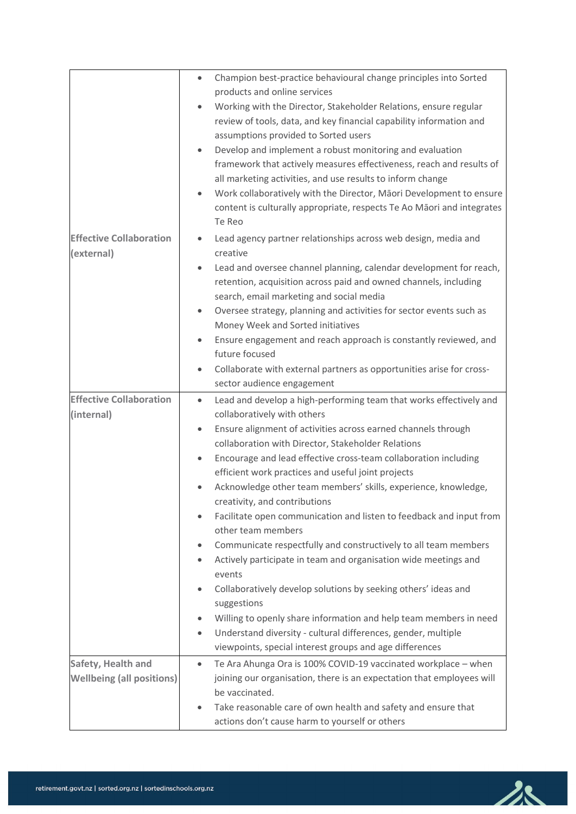|                                  | Champion best-practice behavioural change principles into Sorted<br>$\bullet$     |
|----------------------------------|-----------------------------------------------------------------------------------|
|                                  | products and online services                                                      |
|                                  | Working with the Director, Stakeholder Relations, ensure regular<br>$\bullet$     |
|                                  | review of tools, data, and key financial capability information and               |
|                                  | assumptions provided to Sorted users                                              |
|                                  | Develop and implement a robust monitoring and evaluation<br>$\bullet$             |
|                                  | framework that actively measures effectiveness, reach and results of              |
|                                  | all marketing activities, and use results to inform change                        |
|                                  | Work collaboratively with the Director, Māori Development to ensure               |
|                                  | content is culturally appropriate, respects Te Ao Māori and integrates            |
|                                  | Te Reo                                                                            |
| <b>Effective Collaboration</b>   | Lead agency partner relationships across web design, media and<br>$\bullet$       |
| (external)                       | creative                                                                          |
|                                  | Lead and oversee channel planning, calendar development for reach,<br>$\bullet$   |
|                                  | retention, acquisition across paid and owned channels, including                  |
|                                  | search, email marketing and social media                                          |
|                                  | Oversee strategy, planning and activities for sector events such as<br>$\bullet$  |
|                                  | Money Week and Sorted initiatives                                                 |
|                                  | Ensure engagement and reach approach is constantly reviewed, and<br>$\bullet$     |
|                                  | future focused                                                                    |
|                                  | Collaborate with external partners as opportunities arise for cross-<br>$\bullet$ |
|                                  | sector audience engagement                                                        |
| <b>Effective Collaboration</b>   | Lead and develop a high-performing team that works effectively and<br>$\bullet$   |
| (internal)                       | collaboratively with others                                                       |
|                                  | Ensure alignment of activities across earned channels through<br>$\bullet$        |
|                                  | collaboration with Director, Stakeholder Relations                                |
|                                  | Encourage and lead effective cross-team collaboration including<br>$\bullet$      |
|                                  | efficient work practices and useful joint projects                                |
|                                  | Acknowledge other team members' skills, experience, knowledge,                    |
|                                  | creativity, and contributions                                                     |
|                                  | Facilitate open communication and listen to feedback and input from<br>$\bullet$  |
|                                  | other team members                                                                |
|                                  | Communicate respectfully and constructively to all team members                   |
|                                  | Actively participate in team and organisation wide meetings and                   |
|                                  | events                                                                            |
|                                  | Collaboratively develop solutions by seeking others' ideas and<br>$\bullet$       |
|                                  | suggestions                                                                       |
|                                  | Willing to openly share information and help team members in need<br>$\bullet$    |
|                                  | Understand diversity - cultural differences, gender, multiple<br>$\bullet$        |
|                                  | viewpoints, special interest groups and age differences                           |
| Safety, Health and               | Te Ara Ahunga Ora is 100% COVID-19 vaccinated workplace - when<br>$\bullet$       |
| <b>Wellbeing (all positions)</b> | joining our organisation, there is an expectation that employees will             |
|                                  | be vaccinated.                                                                    |
|                                  | Take reasonable care of own health and safety and ensure that<br>$\bullet$        |
|                                  | actions don't cause harm to yourself or others                                    |
|                                  |                                                                                   |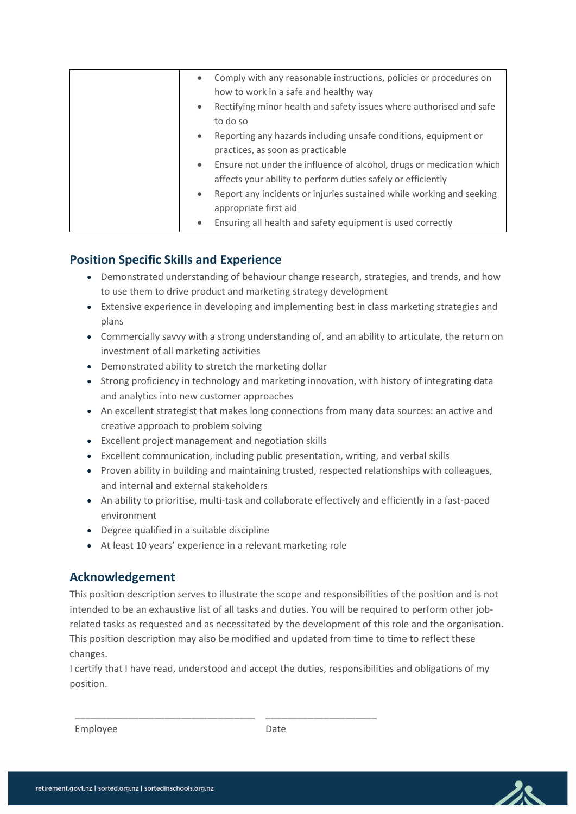| $\bullet$ | Comply with any reasonable instructions, policies or procedures on<br>how to work in a safe and healthy way                          |
|-----------|--------------------------------------------------------------------------------------------------------------------------------------|
| $\bullet$ | Rectifying minor health and safety issues where authorised and safe<br>to do so                                                      |
| $\bullet$ | Reporting any hazards including unsafe conditions, equipment or<br>practices, as soon as practicable                                 |
| $\bullet$ | Ensure not under the influence of alcohol, drugs or medication which<br>affects your ability to perform duties safely or efficiently |
| $\bullet$ | Report any incidents or injuries sustained while working and seeking                                                                 |
| $\bullet$ | appropriate first aid<br>Ensuring all health and safety equipment is used correctly                                                  |

### **Position Specific Skills and Experience**

- Demonstrated understanding of behaviour change research, strategies, and trends, and how to use them to drive product and marketing strategy development
- Extensive experience in developing and implementing best in class marketing strategies and plans
- Commercially savvy with a strong understanding of, and an ability to articulate, the return on investment of all marketing activities
- Demonstrated ability to stretch the marketing dollar
- Strong proficiency in technology and marketing innovation, with history of integrating data and analytics into new customer approaches
- An excellent strategist that makes long connections from many data sources: an active and creative approach to problem solving
- Excellent project management and negotiation skills
- Excellent communication, including public presentation, writing, and verbal skills
- Proven ability in building and maintaining trusted, respected relationships with colleagues, and internal and external stakeholders
- An ability to prioritise, multi-task and collaborate effectively and efficiently in a fast-paced environment
- Degree qualified in a suitable discipline

\_\_\_\_\_\_\_\_\_\_\_\_\_\_\_\_\_\_\_\_\_\_\_\_\_\_\_\_\_\_\_\_\_\_

• At least 10 years' experience in a relevant marketing role

## **Acknowledgement**

This position description serves to illustrate the scope and responsibilities of the position and is not intended to be an exhaustive list of all tasks and duties. You will be required to perform other jobrelated tasks as requested and as necessitated by the development of this role and the organisation. This position description may also be modified and updated from time to time to reflect these changes.

I certify that I have read, understood and accept the duties, responsibilities and obligations of my position.

 $\frac{1}{2}$  ,  $\frac{1}{2}$  ,  $\frac{1}{2}$  ,  $\frac{1}{2}$  ,  $\frac{1}{2}$  ,  $\frac{1}{2}$  ,  $\frac{1}{2}$  ,  $\frac{1}{2}$  ,  $\frac{1}{2}$  ,  $\frac{1}{2}$  ,  $\frac{1}{2}$  ,  $\frac{1}{2}$  ,  $\frac{1}{2}$  ,  $\frac{1}{2}$  ,  $\frac{1}{2}$  ,  $\frac{1}{2}$  ,  $\frac{1}{2}$  ,  $\frac{1}{2}$  ,  $\frac{1$ 

Employee

Date